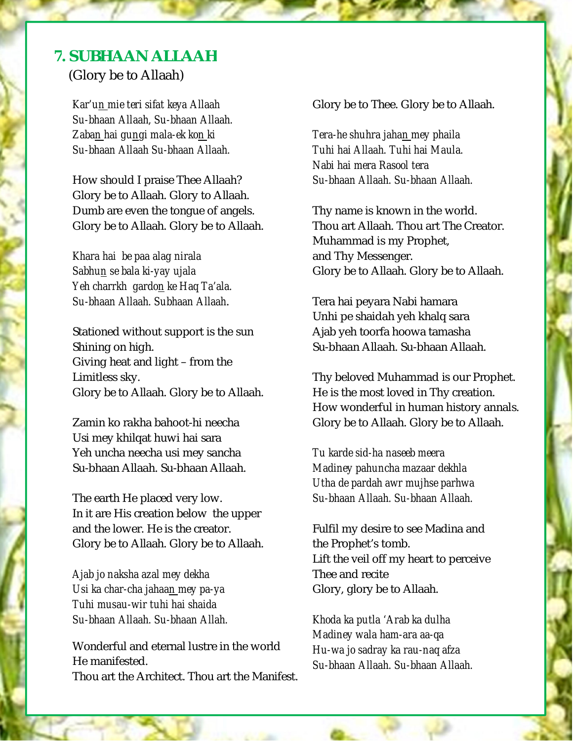## **7. SUBHAAN ALLAAH**

(Glory be to Allaah)

*Kar'un mie teri sifat keya Allaah Su-bhaan Allaah, Su-bhaan Allaah. Zaban hai gungi mala-ek kon ki Su-bhaan Allaah Su-bhaan Allaah.* 

How should I praise Thee Allaah? Glory be to Allaah. Glory to Allaah. Dumb are even the tongue of angels. Glory be to Allaah. Glory be to Allaah.

*Khara hai be paa alag nirala Sabhun se bala ki-yay ujala Yeh charrkh gardon ke Haq Ta'ala. Su-bhaan Allaah. Subhaan Allaah*.

Stationed without support is the sun Shining on high. Giving heat and light – from the Limitless sky. Glory be to Allaah. Glory be to Allaah.

Zamin ko rakha bahoot-hi neecha Usi mey khilqat huwi hai sara Yeh uncha neecha usi mey sancha Su-bhaan Allaah. Su-bhaan Allaah.

The earth He placed very low. In it are His creation below the upper and the lower. He is the creator. Glory be to Allaah. Glory be to Allaah.

*Ajab jo naksha azal mey dekha Usi ka char-cha jahaan mey pa-ya Tuhi musau-wir tuhi hai shaida Su-bhaan Allaah. Su-bhaan Allah.* 

Wonderful and eternal lustre in the world He manifested. Thou art the Architect. Thou art the Manifest. Glory be to Thee. Glory be to Allaah.

*Tera-he shuhra jahan mey phaila Tuhi hai Allaah. Tuhi hai Maula. Nabi hai mera Rasool tera Su-bhaan Allaah. Su-bhaan Allaah.* 

Thy name is known in the world. Thou art Allaah. Thou art The Creator. Muhammad is my Prophet, and Thy Messenger. Glory be to Allaah. Glory be to Allaah.

Tera hai peyara Nabi hamara Unhi pe shaidah yeh khalq sara Ajab yeh toorfa hoowa tamasha Su-bhaan Allaah. Su-bhaan Allaah.

Thy beloved Muhammad is our Prophet. He is the most loved in Thy creation. How wonderful in human history annals. Glory be to Allaah. Glory be to Allaah.

*Tu karde sid-ha naseeb meera Madiney pahuncha mazaar dekhla Utha de pardah awr mujhse parhwa Su-bhaan Allaah. Su-bhaan Allaah.* 

Fulfil my desire to see Madina and the Prophet's tomb. Lift the veil off my heart to perceive Thee and recite Glory, glory be to Allaah.

*Khoda ka putla 'Arab ka dulha Madiney wala ham-ara aa-qa Hu-wa jo sadray ka rau-naq afza Su-bhaan Allaah. Su-bhaan Allaah.*